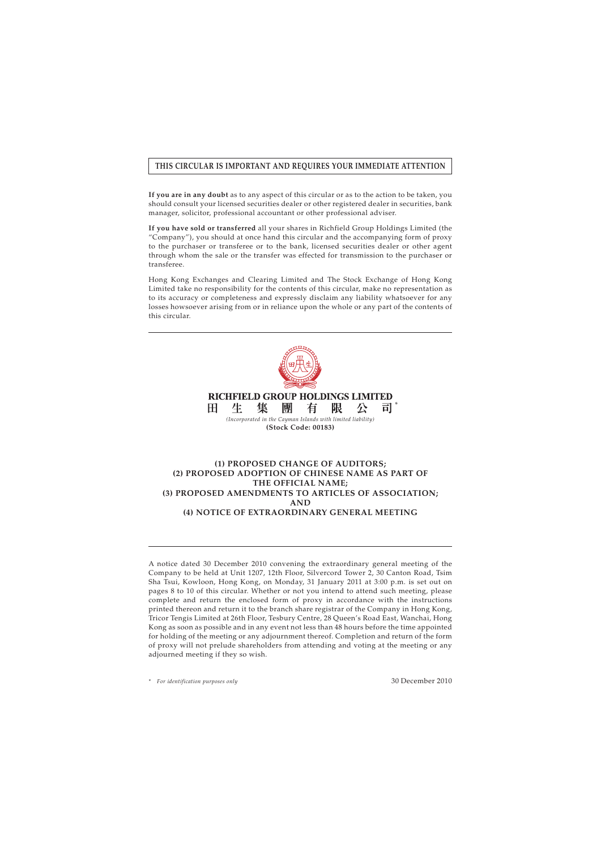# **THIS CIRCULAR IS IMPORTANT AND REQUIRES YOUR IMMEDIATE ATTENTION**

**If you are in any doubt** as to any aspect of this circular or as to the action to be taken, you should consult your licensed securities dealer or other registered dealer in securities, bank manager, solicitor, professional accountant or other professional adviser.

**If you have sold or transferred** all your shares in Richfield Group Holdings Limited (the "Company"), you should at once hand this circular and the accompanying form of proxy to the purchaser or transferee or to the bank, licensed securities dealer or other agent through whom the sale or the transfer was effected for transmission to the purchaser or transferee.

Hong Kong Exchanges and Clearing Limited and The Stock Exchange of Hong Kong Limited take no responsibility for the contents of this circular, make no representation as to its accuracy or completeness and expressly disclaim any liability whatsoever for any losses howsoever arising from or in reliance upon the whole or any part of the contents of this circular.



### **(3) PROPOSED AMENDMENTS TO ARTICLES OF ASSOCIATION; AND**

**(4) NOTICE OF EXTRAORDINARY GENERAL MEETING**

A notice dated 30 December 2010 convening the extraordinary general meeting of the Company to be held at Unit 1207, 12th Floor, Silvercord Tower 2, 30 Canton Road, Tsim Sha Tsui, Kowloon, Hong Kong, on Monday, 31 January 2011 at 3:00 p.m. is set out on pages 8 to 10 of this circular. Whether or not you intend to attend such meeting, please complete and return the enclosed form of proxy in accordance with the instructions printed thereon and return it to the branch share registrar of the Company in Hong Kong, Tricor Tengis Limited at 26th Floor, Tesbury Centre, 28 Queen's Road East, Wanchai, Hong Kong as soon as possible and in any event not less than 48 hours before the time appointed for holding of the meeting or any adjournment thereof. Completion and return of the form of proxy will not prelude shareholders from attending and voting at the meeting or any adjourned meeting if they so wish.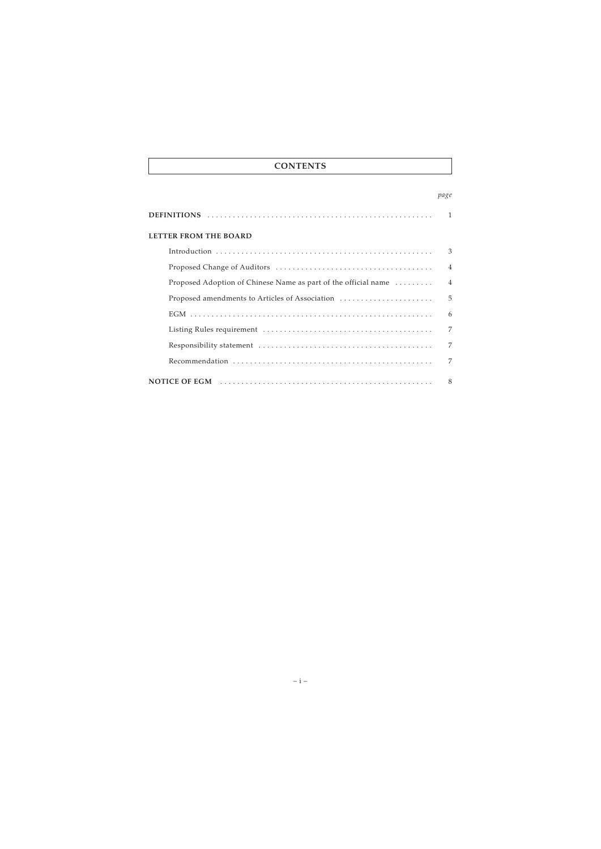# **CONTENTS**

### *page*

| LETTER FROM THE BOARD                                          |                |
|----------------------------------------------------------------|----------------|
|                                                                | 3              |
|                                                                | $\overline{4}$ |
| Proposed Adoption of Chinese Name as part of the official name | $\overline{4}$ |
| Proposed amendments to Articles of Association                 | 5              |
|                                                                | 6              |
|                                                                | 7              |
|                                                                | 7              |
|                                                                | 7              |
|                                                                | 8              |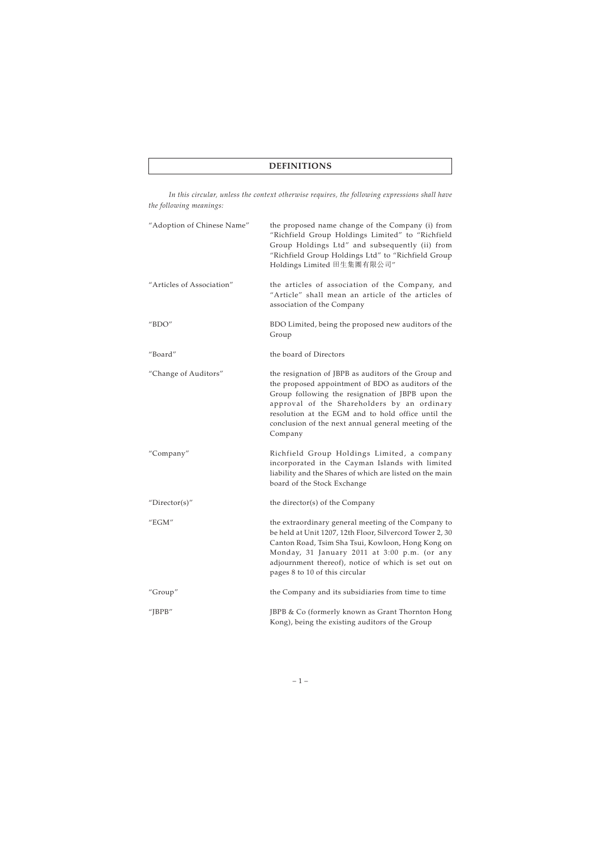# **DEFINITIONS**

*In this circular, unless the context otherwise requires, the following expressions shall have the following meanings:*

| "Adoption of Chinese Name" | the proposed name change of the Company (i) from<br>"Richfield Group Holdings Limited" to "Richfield<br>Group Holdings Ltd" and subsequently (ii) from<br>"Richfield Group Holdings Ltd" to "Richfield Group<br>Holdings Limited 田生集團有限公司"                                                                                             |
|----------------------------|----------------------------------------------------------------------------------------------------------------------------------------------------------------------------------------------------------------------------------------------------------------------------------------------------------------------------------------|
| "Articles of Association"  | the articles of association of the Company, and<br>"Article" shall mean an article of the articles of<br>association of the Company                                                                                                                                                                                                    |
| " $BDO"$                   | BDO Limited, being the proposed new auditors of the<br>Group                                                                                                                                                                                                                                                                           |
| "Board"                    | the board of Directors                                                                                                                                                                                                                                                                                                                 |
| "Change of Auditors"       | the resignation of JBPB as auditors of the Group and<br>the proposed appointment of BDO as auditors of the<br>Group following the resignation of JBPB upon the<br>approval of the Shareholders by an ordinary<br>resolution at the EGM and to hold office until the<br>conclusion of the next annual general meeting of the<br>Company |
| "Company"                  | Richfield Group Holdings Limited, a company<br>incorporated in the Cayman Islands with limited<br>liability and the Shares of which are listed on the main<br>board of the Stock Exchange                                                                                                                                              |
| " $Directory$              | the director(s) of the Company                                                                                                                                                                                                                                                                                                         |
| "EGM"                      | the extraordinary general meeting of the Company to<br>be held at Unit 1207, 12th Floor, Silvercord Tower 2, 30<br>Canton Road, Tsim Sha Tsui, Kowloon, Hong Kong on<br>Monday, 31 January 2011 at 3:00 p.m. (or any<br>adjournment thereof), notice of which is set out on<br>pages 8 to 10 of this circular                          |
| "Group"                    | the Company and its subsidiaries from time to time                                                                                                                                                                                                                                                                                     |
| "J $BPB$ "                 | JBPB & Co (formerly known as Grant Thornton Hong<br>Kong), being the existing auditors of the Group                                                                                                                                                                                                                                    |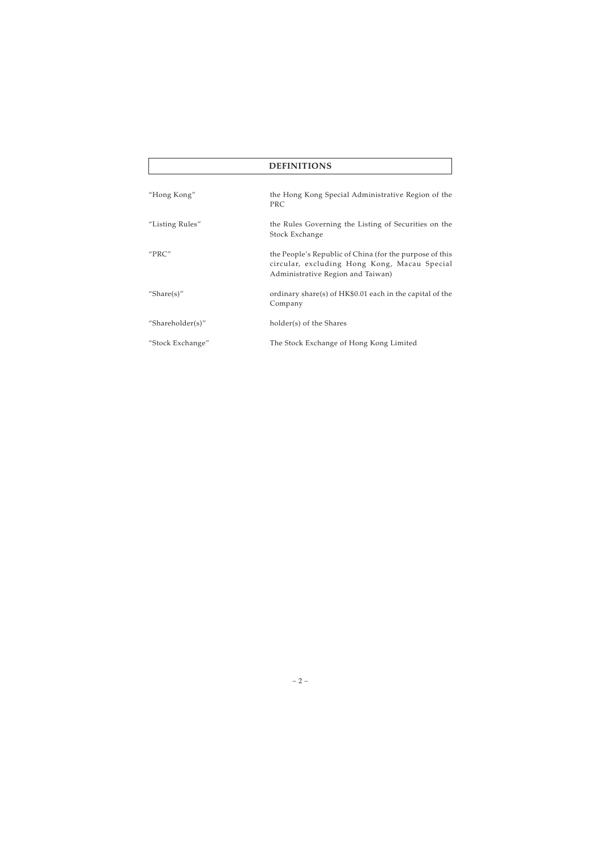# **DEFINITIONS**

| "Hong Kong"      | the Hong Kong Special Administrative Region of the<br><b>PRC</b>                                                                             |
|------------------|----------------------------------------------------------------------------------------------------------------------------------------------|
| "Listing Rules"  | the Rules Governing the Listing of Securities on the<br>Stock Exchange                                                                       |
| "PRC"            | the People's Republic of China (for the purpose of this<br>circular, excluding Hong Kong, Macau Special<br>Administrative Region and Taiwan) |
| "Share $(s)$ "   | ordinary share(s) of HK\$0.01 each in the capital of the<br>Company                                                                          |
| "Shareholder(s)" | holder(s) of the Shares                                                                                                                      |
| "Stock Exchange" | The Stock Exchange of Hong Kong Limited                                                                                                      |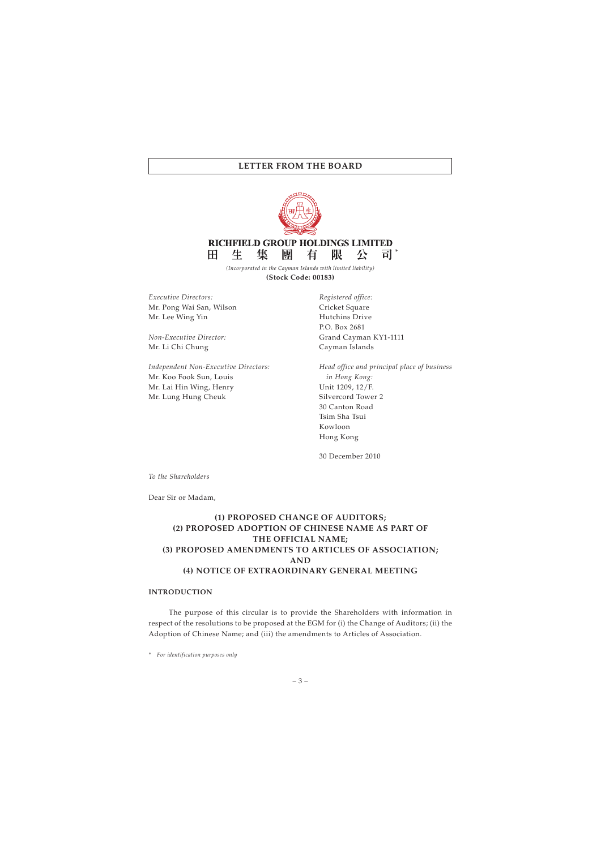

**RICHFIELD GROUP HOLDINGS LIMITED** Ħ. 生 集 團 有 限 八 न्न। \*

*(Incorporated in the Cayman Islands with limited liability)* **(Stock Code: 00183)**

*Executive Directors:* Mr. Pong Wai San, Wilson Mr. Lee Wing Yin

*Non-Executive Director:* Mr. Li Chi Chung

*Independent Non-Executive Directors:* Mr. Koo Fook Sun, Louis Mr. Lai Hin Wing, Henry Mr. Lung Hung Cheuk

*Registered office:* Cricket Square Hutchins Drive P.O. Box 2681 Grand Cayman KY1-1111 Cayman Islands

*Head office and principal place of business in Hong Kong:* Unit 1209, 12/F. Silvercord Tower 2 30 Canton Road Tsim Sha Tsui Kowloon Hong Kong

30 December 2010

*To the Shareholders*

Dear Sir or Madam,

# **(1) PROPOSED CHANGE OF AUDITORS; (2) PROPOSED ADOPTION OF CHINESE NAME AS PART OF THE OFFICIAL NAME; (3) PROPOSED AMENDMENTS TO ARTICLES OF ASSOCIATION; AND (4) NOTICE OF EXTRAORDINARY GENERAL MEETING**

### **INTRODUCTION**

The purpose of this circular is to provide the Shareholders with information in respect of the resolutions to be proposed at the EGM for (i) the Change of Auditors; (ii) the Adoption of Chinese Name; and (iii) the amendments to Articles of Association.

*\* For identification purposes only*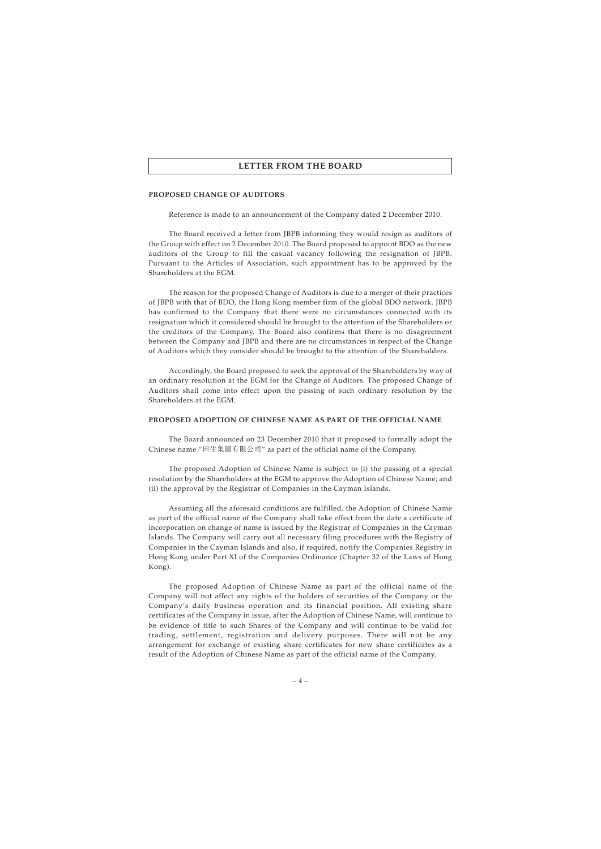#### **PROPOSED CHANGE OF AUDITORS**

Reference is made to an announcement of the Company dated 2 December 2010.

The Board received a letter from JBPB informing they would resign as auditors of the Group with effect on 2 December 2010. The Board proposed to appoint BDO as the new auditors of the Group to fill the casual vacancy following the resignation of JBPB. Pursuant to the Articles of Association, such appointment has to be approved by the Shareholders at the EGM.

The reason for the proposed Change of Auditors is due to a merger of their practices of JBPB with that of BDO, the Hong Kong member firm of the global BDO network. JBPB has confirmed to the Company that there were no circumstances connected with its resignation which it considered should be brought to the attention of the Shareholders or the creditors of the Company. The Board also confirms that there is no disagreement between the Company and JBPB and there are no circumstances in respect of the Change of Auditors which they consider should be brought to the attention of the Shareholders.

Accordingly, the Board proposed to seek the approval of the Shareholders by way of an ordinary resolution at the EGM for the Change of Auditors. The proposed Change of Auditors shall come into effect upon the passing of such ordinary resolution by the Shareholders at the EGM.

#### **PROPOSED ADOPTION OF CHINESE NAME AS PART OF THE OFFICIAL NAME**

The Board announced on 23 December 2010 that it proposed to formally adopt the Chinese name "田生集團有限公司" as part of the official name of the Company.

The proposed Adoption of Chinese Name is subject to (i) the passing of a special resolution by the Shareholders at the EGM to approve the Adoption of Chinese Name; and (ii) the approval by the Registrar of Companies in the Cayman Islands.

Assuming all the aforesaid conditions are fulfilled, the Adoption of Chinese Name as part of the official name of the Company shall take effect from the date a certificate of incorporation on change of name is issued by the Registrar of Companies in the Cayman Islands. The Company will carry out all necessary filing procedures with the Registry of Companies in the Cayman Islands and also, if required, notify the Companies Registry in Hong Kong under Part XI of the Companies Ordinance (Chapter 32 of the Laws of Hong Kong).

The proposed Adoption of Chinese Name as part of the official name of the Company will not affect any rights of the holders of securities of the Company or the Company's daily business operation and its financial position. All existing share certificates of the Company in issue, after the Adoption of Chinese Name, will continue to be evidence of title to such Shares of the Company and will continue to be valid for trading, settlement, registration and delivery purposes. There will not be any arrangement for exchange of existing share certificates for new share certificates as a result of the Adoption of Chinese Name as part of the official name of the Company.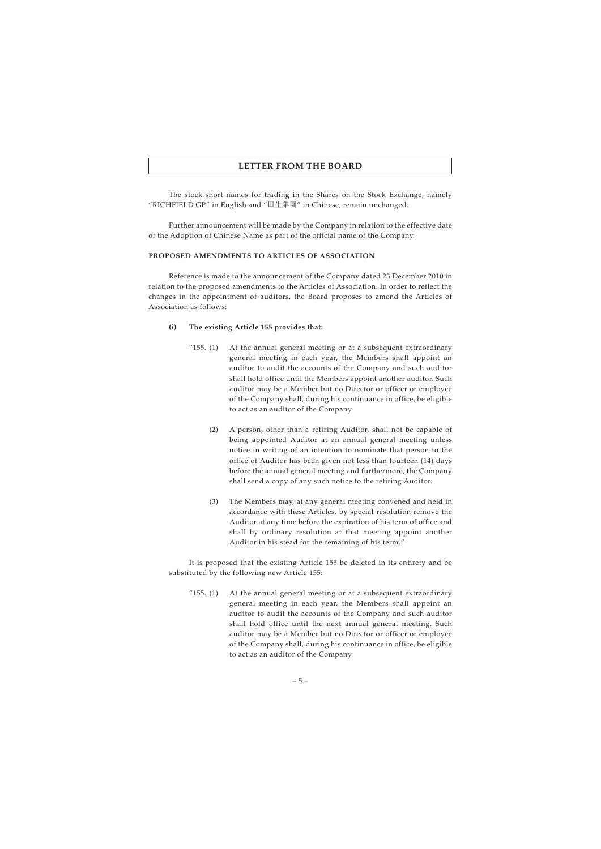The stock short names for trading in the Shares on the Stock Exchange, namely "RICHFIELD GP" in English and "田生集團" in Chinese, remain unchanged.

Further announcement will be made by the Company in relation to the effective date of the Adoption of Chinese Name as part of the official name of the Company.

### **PROPOSED AMENDMENTS TO ARTICLES OF ASSOCIATION**

Reference is made to the announcement of the Company dated 23 December 2010 in relation to the proposed amendments to the Articles of Association. In order to reflect the changes in the appointment of auditors, the Board proposes to amend the Articles of Association as follows:

### **(i) The existing Article 155 provides that:**

- " $155. (1)$  At the annual general meeting or at a subsequent extraordinary general meeting in each year, the Members shall appoint an auditor to audit the accounts of the Company and such auditor shall hold office until the Members appoint another auditor. Such auditor may be a Member but no Director or officer or employee of the Company shall, during his continuance in office, be eligible to act as an auditor of the Company.
	- (2) A person, other than a retiring Auditor, shall not be capable of being appointed Auditor at an annual general meeting unless notice in writing of an intention to nominate that person to the office of Auditor has been given not less than fourteen (14) days before the annual general meeting and furthermore, the Company shall send a copy of any such notice to the retiring Auditor.
	- (3) The Members may, at any general meeting convened and held in accordance with these Articles, by special resolution remove the Auditor at any time before the expiration of his term of office and shall by ordinary resolution at that meeting appoint another Auditor in his stead for the remaining of his term."

It is proposed that the existing Article 155 be deleted in its entirety and be substituted by the following new Article 155:

" $155.$  (1) At the annual general meeting or at a subsequent extraordinary general meeting in each year, the Members shall appoint an auditor to audit the accounts of the Company and such auditor shall hold office until the next annual general meeting. Such auditor may be a Member but no Director or officer or employee of the Company shall, during his continuance in office, be eligible to act as an auditor of the Company.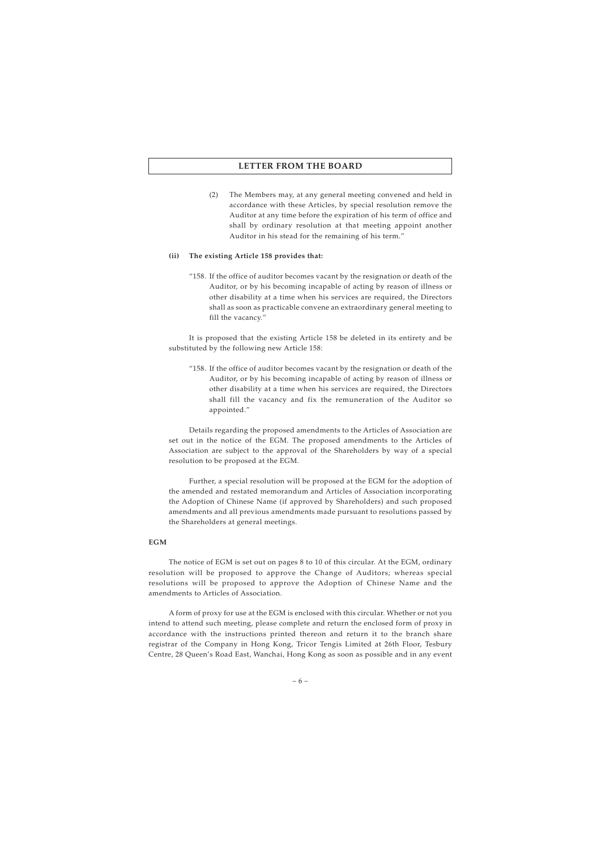(2) The Members may, at any general meeting convened and held in accordance with these Articles, by special resolution remove the Auditor at any time before the expiration of his term of office and shall by ordinary resolution at that meeting appoint another Auditor in his stead for the remaining of his term."

#### **(ii) The existing Article 158 provides that:**

"158. If the office of auditor becomes vacant by the resignation or death of the Auditor, or by his becoming incapable of acting by reason of illness or other disability at a time when his services are required, the Directors shall as soon as practicable convene an extraordinary general meeting to fill the vacancy."

It is proposed that the existing Article 158 be deleted in its entirety and be substituted by the following new Article 158:

"158. If the office of auditor becomes vacant by the resignation or death of the Auditor, or by his becoming incapable of acting by reason of illness or other disability at a time when his services are required, the Directors shall fill the vacancy and fix the remuneration of the Auditor so appointed."

Details regarding the proposed amendments to the Articles of Association are set out in the notice of the EGM. The proposed amendments to the Articles of Association are subject to the approval of the Shareholders by way of a special resolution to be proposed at the EGM.

Further, a special resolution will be proposed at the EGM for the adoption of the amended and restated memorandum and Articles of Association incorporating the Adoption of Chinese Name (if approved by Shareholders) and such proposed amendments and all previous amendments made pursuant to resolutions passed by the Shareholders at general meetings.

### **EGM**

The notice of EGM is set out on pages 8 to 10 of this circular. At the EGM, ordinary resolution will be proposed to approve the Change of Auditors; whereas special resolutions will be proposed to approve the Adoption of Chinese Name and the amendments to Articles of Association.

A form of proxy for use at the EGM is enclosed with this circular. Whether or not you intend to attend such meeting, please complete and return the enclosed form of proxy in accordance with the instructions printed thereon and return it to the branch share registrar of the Company in Hong Kong, Tricor Tengis Limited at 26th Floor, Tesbury Centre, 28 Queen's Road East, Wanchai, Hong Kong as soon as possible and in any event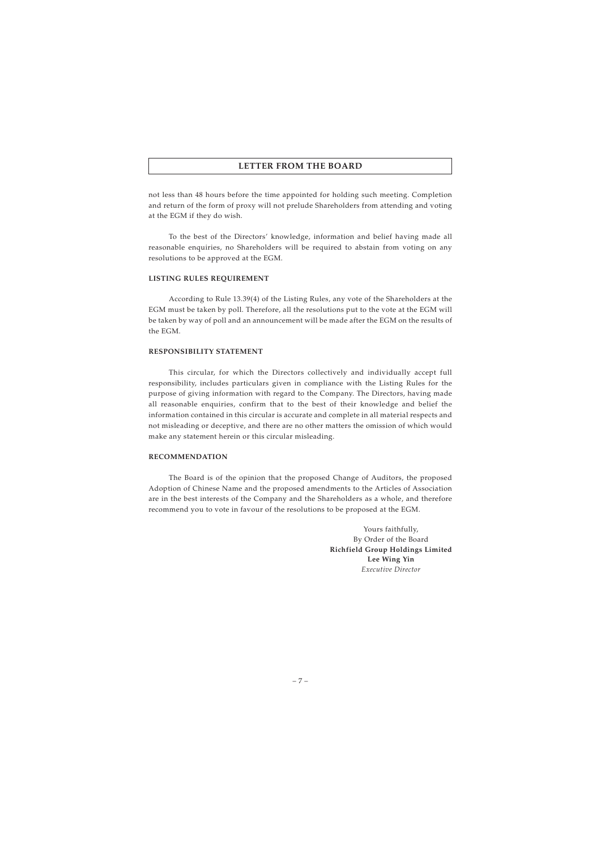not less than 48 hours before the time appointed for holding such meeting. Completion and return of the form of proxy will not prelude Shareholders from attending and voting at the EGM if they do wish.

To the best of the Directors' knowledge, information and belief having made all reasonable enquiries, no Shareholders will be required to abstain from voting on any resolutions to be approved at the EGM.

### **LISTING RULES REQUIREMENT**

According to Rule 13.39(4) of the Listing Rules, any vote of the Shareholders at the EGM must be taken by poll. Therefore, all the resolutions put to the vote at the EGM will be taken by way of poll and an announcement will be made after the EGM on the results of the EGM.

### **RESPONSIBILITY STATEMENT**

This circular, for which the Directors collectively and individually accept full responsibility, includes particulars given in compliance with the Listing Rules for the purpose of giving information with regard to the Company. The Directors, having made all reasonable enquiries, confirm that to the best of their knowledge and belief the information contained in this circular is accurate and complete in all material respects and not misleading or deceptive, and there are no other matters the omission of which would make any statement herein or this circular misleading.

#### **RECOMMENDATION**

The Board is of the opinion that the proposed Change of Auditors, the proposed Adoption of Chinese Name and the proposed amendments to the Articles of Association are in the best interests of the Company and the Shareholders as a whole, and therefore recommend you to vote in favour of the resolutions to be proposed at the EGM.

> Yours faithfully, By Order of the Board **Richfield Group Holdings Limited Lee Wing Yin** *Executive Director*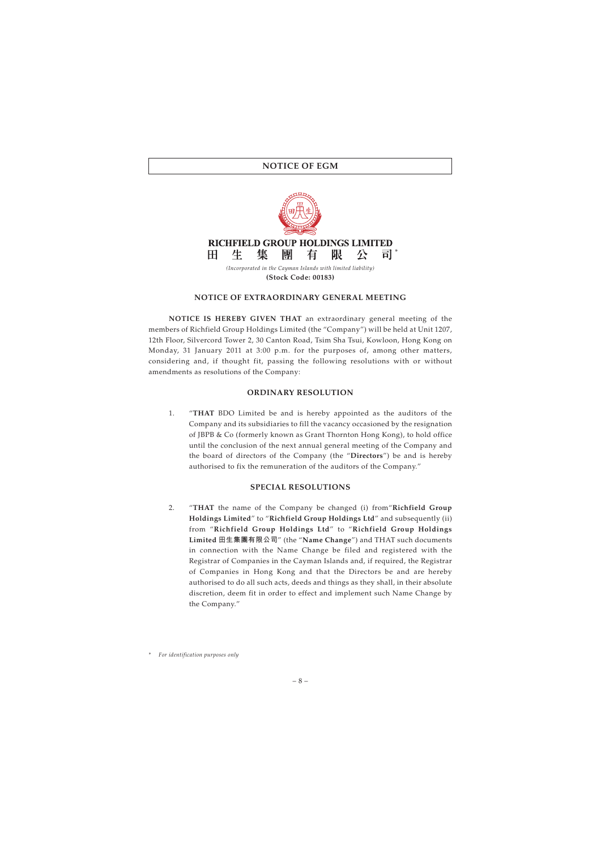## **NOTICE OF EGM**



### **NOTICE OF EXTRAORDINARY GENERAL MEETING**

**NOTICE IS HEREBY GIVEN THAT** an extraordinary general meeting of the members of Richfield Group Holdings Limited (the "Company") will be held at Unit 1207, 12th Floor, Silvercord Tower 2, 30 Canton Road, Tsim Sha Tsui, Kowloon, Hong Kong on Monday, 31 January 2011 at 3:00 p.m. for the purposes of, among other matters, considering and, if thought fit, passing the following resolutions with or without amendments as resolutions of the Company:

#### **ORDINARY RESOLUTION**

1. "**THAT** BDO Limited be and is hereby appointed as the auditors of the Company and its subsidiaries to fill the vacancy occasioned by the resignation of JBPB & Co (formerly known as Grant Thornton Hong Kong), to hold office until the conclusion of the next annual general meeting of the Company and the board of directors of the Company (the "**Directors**") be and is hereby authorised to fix the remuneration of the auditors of the Company."

### **SPECIAL RESOLUTIONS**

2. "**THAT** the name of the Company be changed (i) from"**Richfield Group Holdings Limited**" to "**Richfield Group Holdings Ltd**" and subsequently (ii) from "**Richfield Group Holdings Ltd**" to "**Richfield Group Holdings Limited 田生集團有限公司**" (the "**Name Change**") and THAT such documents in connection with the Name Change be filed and registered with the Registrar of Companies in the Cayman Islands and, if required, the Registrar of Companies in Hong Kong and that the Directors be and are hereby authorised to do all such acts, deeds and things as they shall, in their absolute discretion, deem fit in order to effect and implement such Name Change by the Company."

*<sup>\*</sup> For identification purposes only*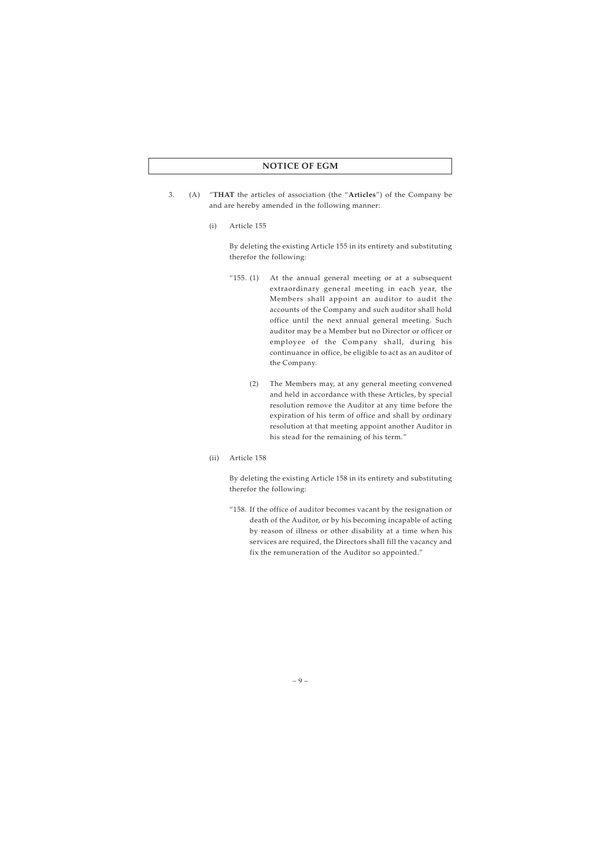## **NOTICE OF EGM**

- 3. (A) "**THAT** the articles of association (the "**Articles**") of the Company be and are hereby amended in the following manner:
	- (i) Article 155

By deleting the existing Article 155 in its entirety and substituting therefor the following:

- "155. (1) At the annual general meeting or at a subsequent extraordinary general meeting in each year, the Members shall appoint an auditor to audit the accounts of the Company and such auditor shall hold office until the next annual general meeting. Such auditor may be a Member but no Director or officer or employee of the Company shall, during his continuance in office, be eligible to act as an auditor of the Company.
	- (2) The Members may, at any general meeting convened and held in accordance with these Articles, by special resolution remove the Auditor at any time before the expiration of his term of office and shall by ordinary resolution at that meeting appoint another Auditor in his stead for the remaining of his term."
- (ii) Article 158

By deleting the existing Article 158 in its entirety and substituting therefor the following:

"158. If the office of auditor becomes vacant by the resignation or death of the Auditor, or by his becoming incapable of acting by reason of illness or other disability at a time when his services are required, the Directors shall fill the vacancy and fix the remuneration of the Auditor so appointed."